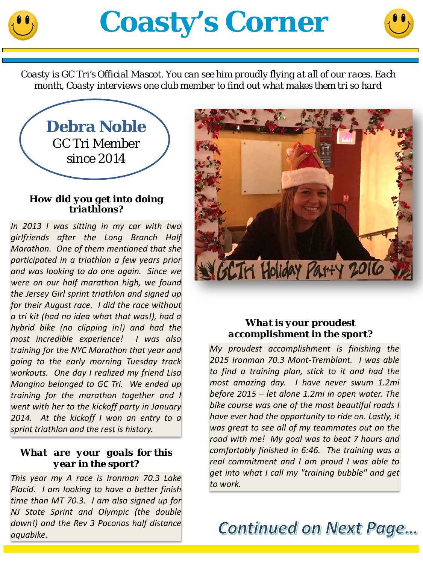



*Coasty is GC Tri's Official Mascot. You can see him proudly flying at all of our races. Each month, Coasty interviews one club member to find out what makes them tri so hard*



#### *How did you get into doing triathlons?*

*In 2013 I was sitting in my car with two girlfriends after the Long Branch Half Marathon. One of them mentioned that she participated in a triathlon a few years prior and was looking to do one again. Since we were on our half marathon high, we found the Jersey Girl sprint triathlon and signed up for their August race. I did the race without a tri kit (had no idea what that was!), had a hybrid bike (no clipping in!) and had the most incredible experience! I was also training for the NYC Marathon that year and going to the early morning Tuesday track workouts. One day I realized my friend Lisa Mangino belonged to GC Tri. We ended up training for the marathon together and I went with her to the kickoff party in January 2014. At the kickoff I won an entry to a sprint triathlon and the rest is history.*

#### *What are your goals for this year in the sport?*

*This year my A race is Ironman 70.3 Lake Placid. I am looking to have a better finish time than MT 70.3. I am also signed up for NJ State Sprint and Olympic (the double down!) and the Rev 3 Poconos half distance aquabike.*



## *What is your proudest accomplishment in the sport?*

*My proudest accomplishment is finishing the 2015 Ironman 70.3 Mont-Tremblant. I was able to find a training plan, stick to it and had the most amazing day. I have never swum 1.2mi before 2015 – let alone 1.2mi in open water. The bike course was one of the most beautiful roads I have ever had the opportunity to ride on. Lastly, it was great to see all of my teammates out on the road with me! My goal was to beat 7 hours and comfortably finished in 6:46. The training was a real commitment and I am proud I was able to get into what I call my "training bubble" and get to work.*

**Continued on Next Page...**